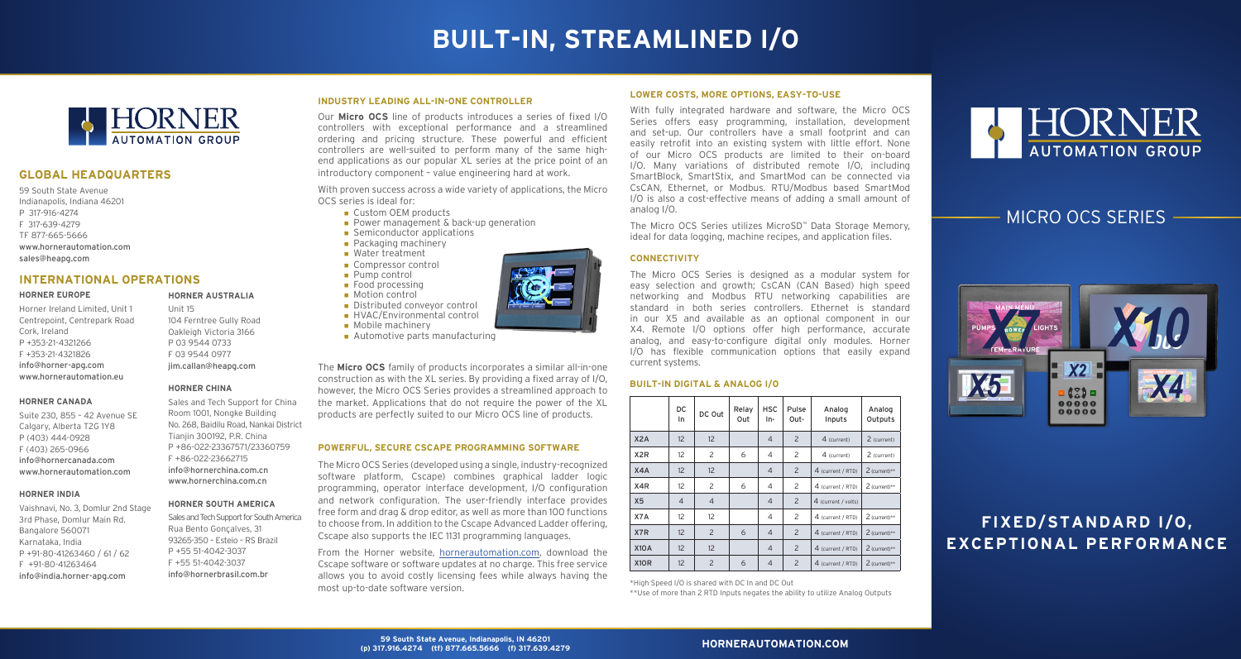|                               | DC<br>In       | DC Out         | Relay<br>Out | <b>HSC</b><br>In* | Pulse<br>Out <sub>*</sub> | Analog<br>Inputs    | Analog<br>Outputs |
|-------------------------------|----------------|----------------|--------------|-------------------|---------------------------|---------------------|-------------------|
| X <sub>2</sub> A              | 12             | 12             |              | $\overline{4}$    | $\overline{2}$            | 4 (current)         | 2 (current)       |
| X <sub>2</sub> R              | $12^{12}$      | 2              | 6            | 4                 | 2                         | 4 (current)         | 2 (current)       |
| X4A                           | 12             | 12             |              | $\overline{4}$    | $\overline{c}$            | 4 (current / RTD)   | 2 (current)**     |
| X4R                           | 12             | 2              | 6            | 4                 | $\overline{c}$            | 4 (current / RTD)   | 2 (current)**     |
| X <sub>5</sub>                | $\overline{4}$ | $\overline{4}$ |              | $\overline{4}$    | $\overline{c}$            | 4 (current / volts) |                   |
| X7A                           | $12^{12}$      | 12             |              | 4                 | $\overline{c}$            | 4 (current / RTD)   | 2 (current)**     |
| X7R                           | 12             | $\overline{2}$ | 6            | $\overline{4}$    | $\overline{c}$            | 4 (current / RTD)   | $2$ (current)**   |
| <b>X10A</b>                   | 12             | 12             |              | $\overline{4}$    | $\overline{c}$            | 4 (current / RTD)   | 2 (current)**     |
| X <sub>1</sub> O <sub>R</sub> | 12             | $\overline{c}$ | 6            | $\overline{4}$    | $\overline{c}$            | 4 (current / RTD)   | $2$ (current)**   |

\*High Speed I/O is shared with DC In and DC Out

\*\*Use of more than 2 RTD Inputs negates the ability to utilize Analog Outputs

#### **BUILT-IN DIGITAL & ANALOG I/O**

#### **INDUSTRY LEADING ALL-IN-ONE CONTROLLER**

Our **Micro OCS** line of products introduces a series of fixed I/O controllers with exceptional performance and a streamlined ordering and pricing structure. These powerful and efficient controllers are well-suited to perform many of the same highend applications as our popular XL series at the price point of an introductory component – value engineering hard at work.

With proven success across a wide variety of applications, the Micro OCS series is ideal for:

- Custom OEM products
- **Power management & back-up generation**
- $\blacksquare$  Semiconductor applications
- Packaging machinery
- **Nater treatment**
- Compressor control
- $\n **Pump control**\n$
- $\blacksquare$  Food processing
- $\blacksquare$  Motion control
- Distributed conveyor control
- HVAC/Environmental control
- $\blacksquare$  Mobile machinery
- $\blacksquare$  Automotive parts manufacturing

The **Micro OCS** family of products incorporates a similar all-in-one construction as with the XL series. By providing a fixed array of I/O, however, the Micro OCS Series provides a streamlined approach to the market. Applications that do not require the power of the XL products are perfectly suited to our Micro OCS line of products.

#### **POWERFUL, SECURE CSCAPE PROGRAMMING SOFTWARE**

The Micro OCS Series (developed using a single, industry-recognized software platform, Cscape) combines graphical ladder logic programming, operator interface development, I/O configuration and network configuration. The user-friendly interface provides free form and drag & drop editor, as well as more than 100 functions to choose from. In addition to the Cscape Advanced Ladder offering, Cscape also supports the IEC 1131 programming languages.

From the Horner website, hornerautomation.com, download the Cscape software or software updates at no charge. This free service allows you to avoid costly licensing fees while always having the most up-to-date software version.

#### **LOWER COSTS, MORE OPTIONS, EASY-TO-USE**

With fully integrated hardware and software, the Micro OCS Series offers easy programming, installation, development and set-up. Our controllers have a small footprint and can easily retrofit into an existing system with little effort. None of our Micro OCS products are limited to their on-board I/O. Many variations of distributed remote I/O, including SmartBlock, SmartStix, and SmartMod can be connected via CsCAN, Ethernet, or Modbus. RTU/Modbus based SmartMod I/O is also a cost-effective means of adding a small amount of analog I/O.

The Micro OCS Series utilizes MicroSD™ Data Storage Memory, ideal for data logging, machine recipes, and application files.

#### **CONNECTIVITY**

The Micro OCS Series is designed as a modular system for easy selection and growth; CsCAN (CAN Based) high speed networking and Modbus RTU networking capabilities are standard in both series controllers. Ethernet is standard in our X5 and available as an optional component in our X4. Remote I/O options offer high performance, accurate analog, and easy-to-configure digital only modules. Horner I/O has flexible communication options that easily expand current systems.

# **BUILT-IN, STREAMLINED I/O**



Horner Ireland Limited, Unit 1 Centrepoint, Centrepark Road Cork, Ireland P +353-21-4321266 F +353-21-4321826 info@horner-apg.com www.hornerautomation.eu

#### **HORNER CANADA**

Suite 230, 855 – 42 Avenue SE Calgary, Alberta T2G 1Y8 P (403) 444-0928 F (403) 265-0966 info@hornercanada.com www.hornerautomation.com

#### **HORNER INDIA**

Vaishnavi, No. 3, Domlur 2nd Stage 3rd Phase, Domlur Main Rd. Bangalore 560071 Karnataka, India P +91-80-41263460 / 61 / 62 F +91-80-41263464 info@india.horner-apg.com

### **GLOBAL HEADQUARTERS**

59 South State Avenue Indianapolis, Indiana 46201 P 317-916-4274 F 317-639-4279 TF 877-665-5666 www.hornerautomation.com sales@heapg.com

#### **INTERNATIONAL OPERATIONS**

### **HORNER EUROPE HORNER AUSTRALIA**

Unit 15 104 Ferntree Gully Road Oakleigh Victoria 3166 P 03 9544 0733 F 03 9544 0977 jim.callan@heapg.com

#### **HORNER CHINA**

Sales and Tech Support for China Room 1001, Nongke Building No. 268, Baidilu Road, Nankai District Tianjin 300192, P.R. China P +86-022-23367571/23360759 F +86-022-23662715 info@hornerchina.com.cn www.hornerchina.com.cn

#### **HORNER SOUTH AMERICA**

Sales and Tech Support for South America Rua Bento Gonçalves, 31 93265-350 – Esteio – RS Brazil P +55 51-4042-3037 F +55 51-4042-3037 info@hornerbrasil.com.br

#### **(p) 317.916.4274 (tf) 877.665.5666 (f) 317.639.4279 HORNERAUTOMATION.COM**





## **FIXED/STANDARD I/O, EXCEPTIONAL PERFORMANCE**

## MICRO OCS SERIES